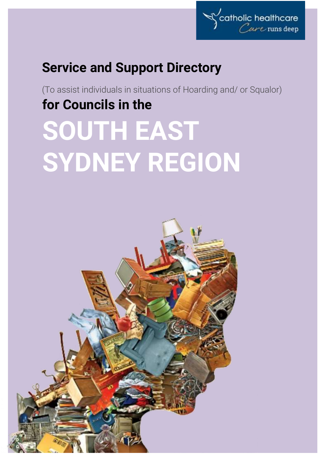

# **Service and Support Directory**

(To assist individuals in situations of Hoarding and/ or Squalor) **for Councils in the**

# **SOUTH EAST SYDNEY REGION**

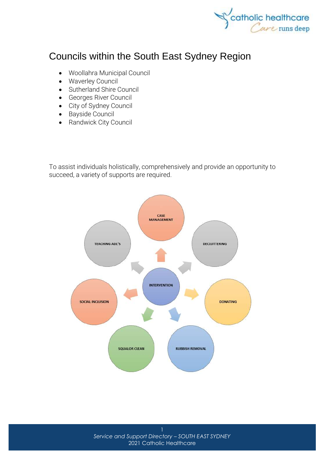

## Councils within the South East Sydney Region

- [Woollahra Municipal Council](http://www.woollahra.nsw.gov.au/)
- [Waverley Council](http://www.waverley.nsw.gov.au/)
- [Sutherland Shire Council](http://www.sutherland.nsw.gov.au/)
- [Georges River Council](http://www.georgesriver.nsw.gov.au/Home)
- [City of Sydney Council](http://www.cityofsydney.nsw.gov.au/)
- [Bayside Council](http://www.bayside.nsw.gov.au/)
- [Randwick City Council](http://www.randwick.nsw.gov.au/)

To assist individuals holistically, comprehensively and provide an opportunity to succeed, a variety of supports are required.

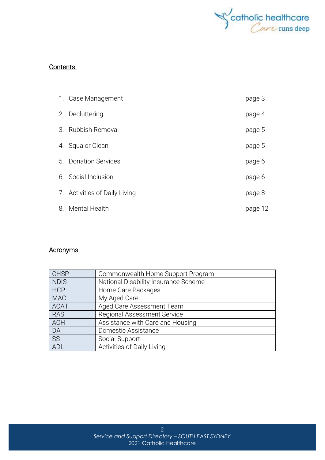

#### Contents:

|    | 1. Case Management            | page 3  |
|----|-------------------------------|---------|
|    | 2. Decluttering               | page 4  |
| 3. | Rubbish Removal               | page 5  |
|    | 4. Squalor Clean              | page 5  |
|    | 5. Donation Services          | page 6  |
|    | 6. Social Inclusion           | page 6  |
|    | 7. Activities of Daily Living | page 8  |
| 8. | Mental Health                 | page 12 |

#### **Acronyms**

| <b>CHSP</b> | Commonwealth Home Support Program    |
|-------------|--------------------------------------|
| <b>NDIS</b> | National Disability Insurance Scheme |
| <b>HCP</b>  | Home Care Packages                   |
| <b>MAC</b>  | My Aged Care                         |
| <b>ACAT</b> | Aged Care Assessment Team            |
| <b>RAS</b>  | <b>Regional Assessment Service</b>   |
| <b>ACH</b>  | Assistance with Care and Housing     |
| DA          | Domestic Assistance                  |
| <b>SS</b>   | Social Support                       |
| ADL         | Activities of Daily Living           |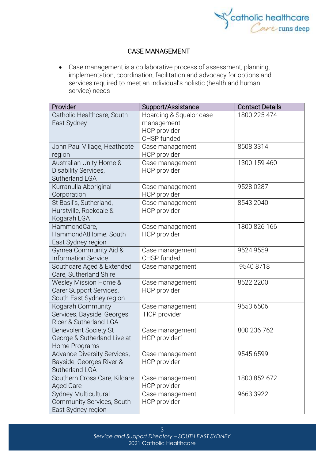

#### CASE MANAGEMENT

• Case management is a collaborative process of assessment, planning, implementation, coordination, facilitation and advocacy for options and services required to meet an individual's holistic (health and human service) needs

| Provider                                         |                                               |                                        |
|--------------------------------------------------|-----------------------------------------------|----------------------------------------|
| Catholic Healthcare, South                       | Support/Assistance<br>Hoarding & Squalor case | <b>Contact Details</b><br>1800 225 474 |
| East Sydney                                      | management                                    |                                        |
|                                                  | HCP provider                                  |                                        |
|                                                  | CHSP funded                                   |                                        |
| John Paul Village, Heathcote                     | Case management                               | 8508 3314                              |
| region                                           | HCP provider                                  |                                        |
| Australian Unity Home &                          | Case management                               | 1300 159 460                           |
| Disability Services,                             | HCP provider                                  |                                        |
| Sutherland LGA                                   |                                               |                                        |
| Kurranulla Aboriginal                            | Case management                               | 9528 0287                              |
| Corporation                                      | HCP provider                                  |                                        |
| St Basil's, Sutherland,                          | Case management                               | 8543 2040                              |
| Hurstville, Rockdale &                           | HCP provider                                  |                                        |
| Kogarah LGA                                      |                                               |                                        |
| HammondCare,                                     | Case management                               | 1800 826 166                           |
| HammondAtHome, South                             | <b>HCP</b> provider                           |                                        |
| East Sydney region                               |                                               |                                        |
| Gymea Community Aid &                            | Case management                               | 9524 9559                              |
| <b>Information Service</b>                       | CHSP funded                                   |                                        |
| Southcare Aged & Extended                        | Case management                               | 9540 8718                              |
| Care, Sutherland Shire                           |                                               | 8522 2200                              |
| Wesley Mission Home &<br>Carer Support Services, | Case management<br><b>HCP</b> provider        |                                        |
| South East Sydney region                         |                                               |                                        |
| Kogarah Community                                | Case management                               | 9553 6506                              |
| Services, Bayside, Georges                       | HCP provider                                  |                                        |
| Ricer & Sutherland LGA                           |                                               |                                        |
| <b>Benevolent Society St</b>                     | Case management                               | 800 236 762                            |
| George & Sutherland Live at                      | HCP provider1                                 |                                        |
| Home Programs                                    |                                               |                                        |
| Advance Diversity Services,                      | Case management                               | 9545 6599                              |
| Bayside, Georges River &                         | HCP provider                                  |                                        |
| Sutherland LGA                                   |                                               |                                        |
| Southern Cross Care, Kildare                     | Case management                               | 1800 852 672                           |
| <b>Aged Care</b>                                 | <b>HCP</b> provider                           |                                        |
| Sydney Multicultural                             | Case management                               | 9663 3922                              |
| Community Services, South                        | HCP provider                                  |                                        |
| East Sydney region                               |                                               |                                        |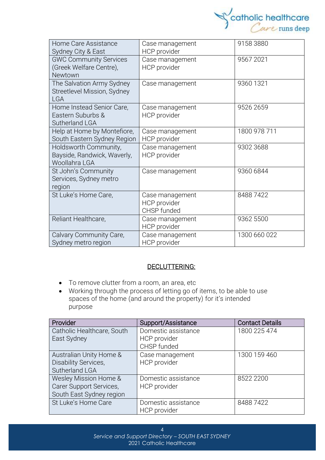

| Home Care Assistance<br>Sydney City & East                             | Case management<br>HCP provider                       | 9158 3880    |
|------------------------------------------------------------------------|-------------------------------------------------------|--------------|
| <b>GWC Community Services</b><br>(Greek Welfare Centre),<br>Newtown    | Case management<br>HCP provider                       | 9567 2021    |
| The Salvation Army Sydney<br>Streetlevel Mission, Sydney<br><b>LGA</b> | Case management                                       | 9360 1321    |
| Home Instead Senior Care,<br>Eastern Suburbs &<br>Sutherland LGA       | Case management<br><b>HCP</b> provider                | 9526 2659    |
| Help at Home by Montefiore,<br>South Eastern Sydney Region             | Case management<br>HCP provider                       | 1800 978 711 |
| Holdsworth Community,<br>Bayside, Randwick, Waverly,<br>Woollahra LGA  | Case management<br>HCP provider                       | 9302 3688    |
| St John's Community<br>Services, Sydney metro<br>region                | Case management                                       | 9360 6844    |
| St Luke's Home Care,                                                   | Case management<br><b>HCP</b> provider<br>CHSP funded | 84887422     |
| Reliant Healthcare,                                                    | Case management<br>HCP provider                       | 9362 5500    |
| Calvary Community Care,<br>Sydney metro region                         | Case management<br>HCP provider                       | 1300 660 022 |

#### DECLUTTERING:

- To remove clutter from a room, an area, etc
- Working through the process of letting go of items, to be able to use spaces of the home (and around the property) for it's intended purpose

| Provider                    | Support/Assistance  | <b>Contact Details</b> |
|-----------------------------|---------------------|------------------------|
| Catholic Healthcare, South  | Domestic assistance | 1800 225 474           |
| East Sydney                 | HCP provider        |                        |
|                             | CHSP funded         |                        |
| Australian Unity Home &     | Case management     | 1300 159 460           |
| <b>Disability Services,</b> | HCP provider        |                        |
| Sutherland LGA              |                     |                        |
| Wesley Mission Home &       | Domestic assistance | 8522 2200              |
| Carer Support Services,     | HCP provider        |                        |
| South East Sydney region    |                     |                        |
| St Luke's Home Care         | Domestic assistance | 84887422               |
|                             | HCP provider        |                        |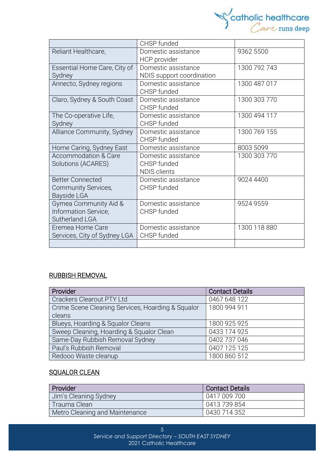

|                                 | CHSP funded               |              |
|---------------------------------|---------------------------|--------------|
| Reliant Healthcare,             | Domestic assistance       | 9362 5500    |
|                                 | HCP provider              |              |
| Essential Home Care, City of    | Domestic assistance       | 1300 792 743 |
| Sydney                          | NDIS support coordination |              |
| Annecto, Sydney regions         | Domestic assistance       | 1300 487 017 |
|                                 | CHSP funded               |              |
| Claro, Sydney & South Coast     | Domestic assistance       | 1300 303 770 |
|                                 | CHSP funded               |              |
| The Co-operative Life,          | Domestic assistance       | 1300 494 117 |
| Sydney                          | CHSP funded               |              |
| Alliance Community, Sydney      | Domestic assistance       | 1300 769 155 |
|                                 | CHSP funded               |              |
| Home Caring, Sydney East        | Domestic assistance       | 8003 5099    |
| <b>Accommodation &amp; Care</b> | Domestic assistance       | 1300 303 770 |
| Solutions (ACARES)              | CHSP funded               |              |
|                                 | <b>NDIS clients</b>       |              |
| <b>Better Connected</b>         | Domestic assistance       | 9024 4400    |
| Community Services,             | CHSP funded               |              |
| Bayside LGA                     |                           |              |
| Gymea Community Aid &           | Domestic assistance       | 9524 9559    |
| Information Service,            | CHSP funded               |              |
| Sutherland LGA                  |                           |              |
| Eremea Home Care                | Domestic assistance       | 1300 118 880 |
| Services, City of Sydney LGA    | CHSP funded               |              |
|                                 |                           |              |

#### RUBBISH REMOVAL

| Provider                                          | <b>Contact Details</b> |
|---------------------------------------------------|------------------------|
| Crackers Clearout PTY Ltd                         | 0467 648 122           |
| Crime Scene Cleaning Services, Hoarding & Squalor | 1800 994 911           |
| cleans                                            |                        |
| Blueys, Hoarding & Squalor Cleans                 | 1800 925 925           |
| Sweep Cleaning, Hoarding & Squalor Clean          | 0433 174 925           |
| Same-Day Rubbish Removal Sydney                   | 0402 737 046           |
| Paul's Rubbish Removal                            | 0407 125 125           |
| Redooo Waste cleanup                              | 1800 860 512           |

#### **SQUALOR CLEAN**

| Provider                       | l Contact Details |
|--------------------------------|-------------------|
| Jim's Cleaning Sydney          | 0417 009 700      |
| Trauma Clean                   | 0413 739 854      |
| Metro Cleaning and Maintenance | 0430 714 352      |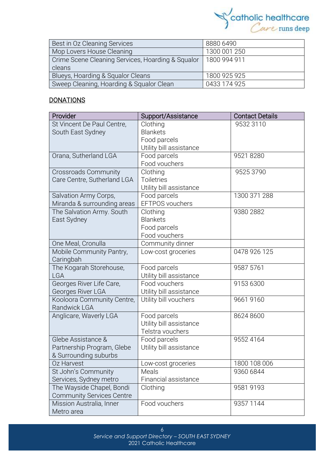

| Best in Oz Cleaning Services                      | 8880 6490    |  |
|---------------------------------------------------|--------------|--|
| Mop Lovers House Cleaning                         | 1300 001 250 |  |
| Crime Scene Cleaning Services, Hoarding & Squalor | 1800 994 911 |  |
| cleans                                            |              |  |
| Blueys, Hoarding & Squalor Cleans                 | 1800 925 925 |  |
| Sweep Cleaning, Hoarding & Squalor Clean          | 0433 174 925 |  |

#### <u>DONATIONS</u>

| Provider                         | Support/Assistance      | <b>Contact Details</b> |
|----------------------------------|-------------------------|------------------------|
| St Vincent De Paul Centre,       | Clothing                | 9532 3110              |
| South East Sydney                | <b>Blankets</b>         |                        |
|                                  | Food parcels            |                        |
|                                  | Utility bill assistance |                        |
| Orana, Sutherland LGA            | Food parcels            | 95218280               |
|                                  | Food vouchers           |                        |
| <b>Crossroads Community</b>      | Clothing                | 9525 3790              |
| Care Centre, Sutherland LGA      | <b>Toiletries</b>       |                        |
|                                  | Utility bill assistance |                        |
| Salvation Army Corps,            | Food parcels            | 1300 371 288           |
| Miranda & surrounding areas      | EFTPOS vouchers         |                        |
| The Salvation Army. South        | Clothing                | 9380 2882              |
| East Sydney                      | <b>Blankets</b>         |                        |
|                                  | Food parcels            |                        |
|                                  | Food vouchers           |                        |
| One Meal, Cronulla               | Community dinner        |                        |
| Mobile Community Pantry,         | Low-cost groceries      | 0478 926 125           |
| Caringbah                        |                         |                        |
| The Kogarah Storehouse,          | Food parcels            | 9587 5761              |
| <b>LGA</b>                       | Utility bill assistance |                        |
| Georges River Life Care,         | Food vouchers           | 9153 6300              |
| Georges River LGA                | Utility bill assistance |                        |
| Kooloora Community Centre,       | Utility bill vouchers   | 9661 9160              |
| Randwick LGA                     |                         |                        |
| Anglicare, Waverly LGA           | Food parcels            | 8624 8600              |
|                                  | Utility bill assistance |                        |
|                                  | Telstra vouchers        |                        |
| Glebe Assistance &               | Food parcels            | 9552 4164              |
| Partnership Program, Glebe       | Utility bill assistance |                        |
| & Surrounding suburbs            |                         |                        |
| Oz Harvest                       | Low-cost groceries      | 1800 108 006           |
| St John's Community              | Meals                   | 9360 6844              |
| Services, Sydney metro           | Financial assistance    |                        |
| The Wayside Chapel, Bondi        | Clothing                | 95819193               |
| <b>Community Services Centre</b> |                         |                        |
| Mission Australia, Inner         | Food vouchers           | 9357 1144              |
| Metro area                       |                         |                        |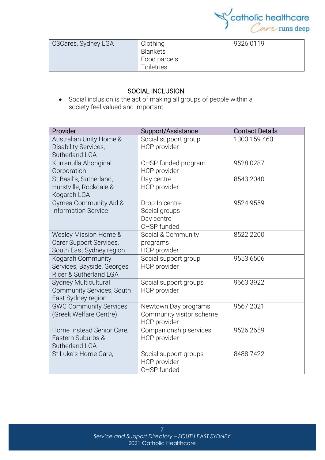

| C3Cares, Sydney LGA | Clothing<br>Blankets       | 9326 0119 |
|---------------------|----------------------------|-----------|
|                     | Food parcels<br>Toiletries |           |

#### SOCIAL INCLUSION:

• Social [inclusion](https://www.collinsdictionary.com/dictionary/english/inclusion) is the act of making all groups of people within a society [feel](https://www.collinsdictionary.com/dictionary/english/feel) valued and [important.](https://www.collinsdictionary.com/dictionary/english/important)

| Provider                                                                       | Support/Assistance                                               | <b>Contact Details</b> |
|--------------------------------------------------------------------------------|------------------------------------------------------------------|------------------------|
| Australian Unity Home &<br>Disability Services,<br>Sutherland LGA              | Social support group<br><b>HCP</b> provider                      | 1300 159 460           |
| Kurranulla Aboriginal<br>Corporation                                           | CHSP funded program<br><b>HCP</b> provider                       | 9528 0287              |
| St Basil's, Sutherland,<br>Hurstville, Rockdale &<br>Kogarah LGA               | Day centre<br>HCP provider                                       | 8543 2040              |
| Gymea Community Aid &<br><b>Information Service</b>                            | Drop-In centre<br>Social groups<br>Day centre<br>CHSP funded     | 9524 9559              |
| Wesley Mission Home &<br>Carer Support Services,<br>South East Sydney region   | Social & Community<br>programs<br><b>HCP</b> provider            | 8522 2200              |
| Kogarah Community<br>Services, Bayside, Georges<br>Ricer & Sutherland LGA      | Social support group<br><b>HCP</b> provider                      | 9553 6506              |
| <b>Sydney Multicultural</b><br>Community Services, South<br>East Sydney region | Social support groups<br><b>HCP</b> provider                     | 9663 3922              |
| <b>GWC Community Services</b><br>(Greek Welfare Centre)                        | Newtown Day programs<br>Community visitor scheme<br>HCP provider | 9567 2021              |
| Home Instead Senior Care,<br>Eastern Suburbs &<br>Sutherland LGA               | Companionship services<br><b>HCP</b> provider                    | 9526 2659              |
| St Luke's Home Care,                                                           | Social support groups<br><b>HCP</b> provider<br>CHSP funded      | 84887422               |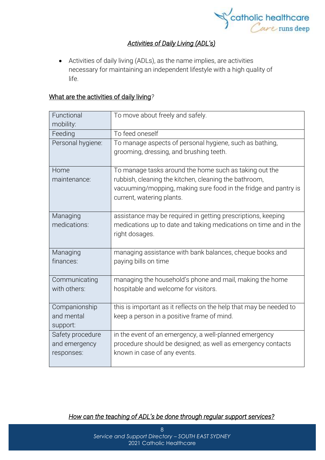

### *Activities of Daily Living (ADL's)*

• Activities of daily living (ADLs), as the name implies, are activities necessary for maintaining an independent lifestyle with a high quality of life.

#### What are the activities of daily living*?*

| Functional<br>mobility: | To move about freely and safely.                                                                                                                      |
|-------------------------|-------------------------------------------------------------------------------------------------------------------------------------------------------|
| Feeding                 | To feed oneself                                                                                                                                       |
| Personal hygiene:       | To manage aspects of personal hygiene, such as bathing,<br>grooming, dressing, and brushing teeth.                                                    |
| Home                    | To manage tasks around the home such as taking out the                                                                                                |
| maintenance:            | rubbish, cleaning the kitchen, cleaning the bathroom,<br>vacuuming/mopping, making sure food in the fridge and pantry is<br>current, watering plants. |
| Managing                | assistance may be required in getting prescriptions, keeping                                                                                          |
| medications:            | medications up to date and taking medications on time and in the<br>right dosages.                                                                    |
| Managing                | managing assistance with bank balances, cheque books and                                                                                              |
| finances:               | paying bills on time                                                                                                                                  |
| Communicating           | managing the household's phone and mail, making the home                                                                                              |
| with others:            | hospitable and welcome for visitors.                                                                                                                  |
| Companionship           | this is important as it reflects on the help that may be needed to                                                                                    |
| and mental              | keep a person in a positive frame of mind.                                                                                                            |
| support:                |                                                                                                                                                       |
| Safety procedure        | in the event of an emergency, a well-planned emergency                                                                                                |
| and emergency           | procedure should be designed; as well as emergency contacts                                                                                           |
| responses:              | known in case of any events.                                                                                                                          |

*How can the teaching of ADL's be done through regular support services?*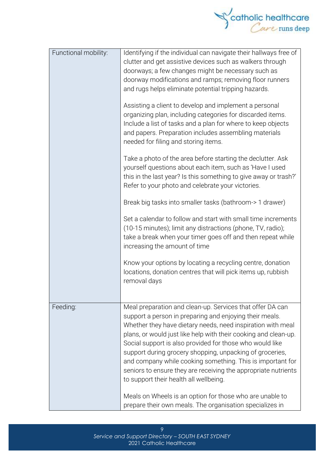

| Functional mobility: | Identifying if the individual can navigate their hallways free of<br>clutter and get assistive devices such as walkers through<br>doorways; a few changes might be necessary such as<br>doorway modifications and ramps; removing floor runners<br>and rugs helps eliminate potential tripping hazards.<br>Assisting a client to develop and implement a personal<br>organizing plan, including categories for discarded items.<br>Include a list of tasks and a plan for where to keep objects<br>and papers. Preparation includes assembling materials<br>needed for filing and storing items.<br>Take a photo of the area before starting the declutter. Ask<br>yourself questions about each item, such as 'Have I used<br>this in the last year? Is this something to give away or trash?'<br>Refer to your photo and celebrate your victories.<br>Break big tasks into smaller tasks (bathroom-> 1 drawer)<br>Set a calendar to follow and start with small time increments<br>(10-15 minutes); limit any distractions (phone, TV, radio);<br>take a break when your timer goes off and then repeat while<br>increasing the amount of time<br>Know your options by locating a recycling centre, donation |
|----------------------|----------------------------------------------------------------------------------------------------------------------------------------------------------------------------------------------------------------------------------------------------------------------------------------------------------------------------------------------------------------------------------------------------------------------------------------------------------------------------------------------------------------------------------------------------------------------------------------------------------------------------------------------------------------------------------------------------------------------------------------------------------------------------------------------------------------------------------------------------------------------------------------------------------------------------------------------------------------------------------------------------------------------------------------------------------------------------------------------------------------------------------------------------------------------------------------------------------------|
|                      | locations, donation centres that will pick items up, rubbish<br>removal days                                                                                                                                                                                                                                                                                                                                                                                                                                                                                                                                                                                                                                                                                                                                                                                                                                                                                                                                                                                                                                                                                                                                   |
| Feeding:             | Meal preparation and clean-up. Services that offer DA can<br>support a person in preparing and enjoying their meals.<br>Whether they have dietary needs, need inspiration with meal<br>plans, or would just like help with their cooking and clean-up.<br>Social support is also provided for those who would like<br>support during grocery shopping, unpacking of groceries,<br>and company while cooking something. This is important for<br>seniors to ensure they are receiving the appropriate nutrients<br>to support their health all wellbeing.<br>Meals on Wheels is an option for those who are unable to<br>prepare their own meals. The organisation specializes in                                                                                                                                                                                                                                                                                                                                                                                                                                                                                                                               |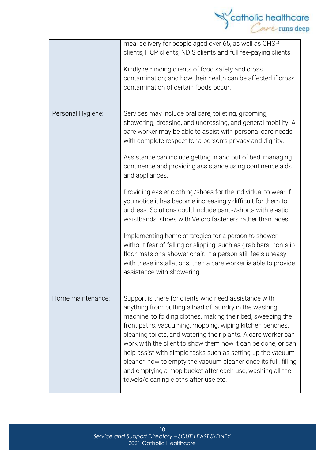

|                   | meal delivery for people aged over 65, as well as CHSP<br>clients, HCP clients, NDIS clients and full fee-paying clients.<br>Kindly reminding clients of food safety and cross<br>contamination; and how their health can be affected if cross<br>contamination of certain foods occur.                                                                                                                                                                                                                                                                                                                              |
|-------------------|----------------------------------------------------------------------------------------------------------------------------------------------------------------------------------------------------------------------------------------------------------------------------------------------------------------------------------------------------------------------------------------------------------------------------------------------------------------------------------------------------------------------------------------------------------------------------------------------------------------------|
| Personal Hygiene: | Services may include oral care, toileting, grooming,<br>showering, dressing, and undressing, and general mobility. A<br>care worker may be able to assist with personal care needs<br>with complete respect for a person's privacy and dignity.<br>Assistance can include getting in and out of bed, managing<br>continence and providing assistance using continence aids<br>and appliances.                                                                                                                                                                                                                        |
|                   | Providing easier clothing/shoes for the individual to wear if<br>you notice it has become increasingly difficult for them to<br>undress. Solutions could include pants/shorts with elastic<br>waistbands, shoes with Velcro fasteners rather than laces.                                                                                                                                                                                                                                                                                                                                                             |
|                   | Implementing home strategies for a person to shower<br>without fear of falling or slipping, such as grab bars, non-slip<br>floor mats or a shower chair. If a person still feels uneasy<br>with these installations, then a care worker is able to provide<br>assistance with showering.                                                                                                                                                                                                                                                                                                                             |
| Home maintenance: | Support is there for clients who need assistance with<br>anything from putting a load of laundry in the washing<br>machine, to folding clothes, making their bed, sweeping the<br>front paths, vacuuming, mopping, wiping kitchen benches,<br>cleaning toilets, and watering their plants. A care worker can<br>work with the client to show them how it can be done, or can<br>help assist with simple tasks such as setting up the vacuum<br>cleaner, how to empty the vacuum cleaner once its full, filling<br>and emptying a mop bucket after each use, washing all the<br>towels/cleaning cloths after use etc. |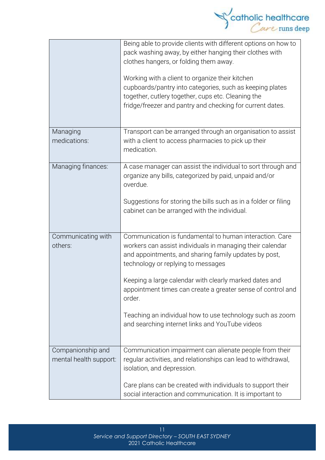

|                                             | Being able to provide clients with different options on how to<br>pack washing away, by either hanging their clothes with<br>clothes hangers, or folding them away.<br>Working with a client to organize their kitchen<br>cupboards/pantry into categories, such as keeping plates<br>together, cutlery together, cups etc. Cleaning the<br>fridge/freezer and pantry and checking for current dates.                                                                  |
|---------------------------------------------|------------------------------------------------------------------------------------------------------------------------------------------------------------------------------------------------------------------------------------------------------------------------------------------------------------------------------------------------------------------------------------------------------------------------------------------------------------------------|
| Managing<br>medications:                    | Transport can be arranged through an organisation to assist<br>with a client to access pharmacies to pick up their<br>medication.                                                                                                                                                                                                                                                                                                                                      |
| Managing finances:                          | A case manager can assist the individual to sort through and<br>organize any bills, categorized by paid, unpaid and/or<br>overdue.<br>Suggestions for storing the bills such as in a folder or filing<br>cabinet can be arranged with the individual.                                                                                                                                                                                                                  |
| Communicating with<br>others:               | Communication is fundamental to human interaction. Care<br>workers can assist individuals in managing their calendar<br>and appointments, and sharing family updates by post,<br>technology or replying to messages<br>Keeping a large calendar with clearly marked dates and<br>appointment times can create a greater sense of control and<br>order.<br>Teaching an individual how to use technology such as zoom<br>and searching internet links and YouTube videos |
| Companionship and<br>mental health support: | Communication impairment can alienate people from their<br>regular activities, and relationships can lead to withdrawal,<br>isolation, and depression.<br>Care plans can be created with individuals to support their<br>social interaction and communication. It is important to                                                                                                                                                                                      |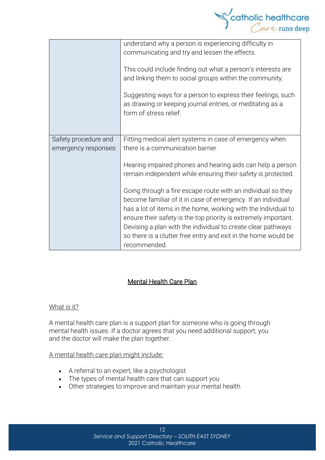

|                                              | understand why a person is experiencing difficulty in<br>communicating and try and lessen the effects.<br>This could include finding out what a person's interests are<br>and linking them to social groups within the community.<br>Suggesting ways for a person to express their feelings, such<br>as drawing or keeping journal entries, or meditating as a<br>form of stress relief.                            |  |
|----------------------------------------------|---------------------------------------------------------------------------------------------------------------------------------------------------------------------------------------------------------------------------------------------------------------------------------------------------------------------------------------------------------------------------------------------------------------------|--|
| Safety procedure and<br>emergency responses: | Fitting medical alert systems in case of emergency when<br>there is a communication barrier                                                                                                                                                                                                                                                                                                                         |  |
|                                              | Hearing impaired phones and hearing aids can help a person<br>remain independent while ensuring their safety is protected.                                                                                                                                                                                                                                                                                          |  |
|                                              | Going through a fire escape route with an individual so they<br>become familiar of it in case of emergency. If an individual<br>has a lot of items in the home, working with the individual to<br>ensure their safety is the top priority is extremely important.<br>Devising a plan with the individual to create clear pathways<br>so there is a clutter free entry and exit in the home would be<br>recommended. |  |

#### Mental Health Care Plan

#### What is it?

A mental health care plan is a support plan for someone who is going through mental health issues. If a doctor agrees that you need additional support, you and the doctor will make the plan together.

#### A mental health care plan might include:

- A referral to an expert, like a psychologist
- The types of mental health care that can support you
- Other strategies to improve and maintain your mental health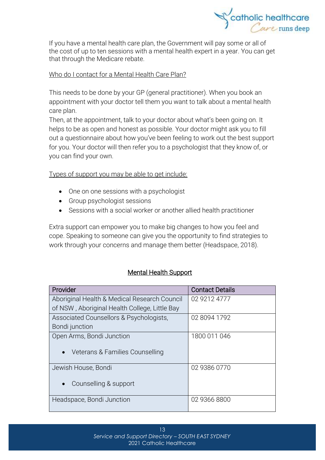

If you have a mental health care plan, the Government will pay some or all of the cost of up to ten sessions with a mental health expert in a year. You can get that through the [Medicare](https://headspace.org.au/blog/how-to-get-a-medicare-card-old/) rebate.

#### Who do I contact for a Mental Health Care Plan?

This needs to be done by your GP (general practitioner). When you book an appointment with your doctor tell them you want to talk about a mental health care plan.

Then, at the appointment, talk to your doctor about what's been going on. It helps to be as open and honest as possible. Your doctor might ask you to fill out a questionnaire about how you've been feeling to work out the best support for you. Your doctor will then refer you to a psychologist that they know of, or you can find your own.

Types of support you may be able to get include:

- One on one sessions with a psychologist
- Group psychologist sessions
- Sessions with a social worker or another allied health practitioner

Extra support can empower you to make big changes to how you feel and cope. Speaking to someone can give you the opportunity to find strategies to work through your concerns and manage them better (Headspace, 2018).

#### Mental Health Support

| Provider                                      | <b>Contact Details</b> |
|-----------------------------------------------|------------------------|
| Aboriginal Health & Medical Research Council  | 02 9212 4777           |
| of NSW, Aboriginal Health College, Little Bay |                        |
| Associated Counsellors & Psychologists,       | 02 8094 1792           |
| Bondi junction                                |                        |
| Open Arms, Bondi Junction                     | 1800 011 046           |
| Veterans & Families Counselling<br>$\bullet$  |                        |
| Jewish House, Bondi                           | 02 9386 0770           |
| Counselling & support<br>$\bullet$            |                        |
| Headspace, Bondi Junction                     | 02 9366 8800           |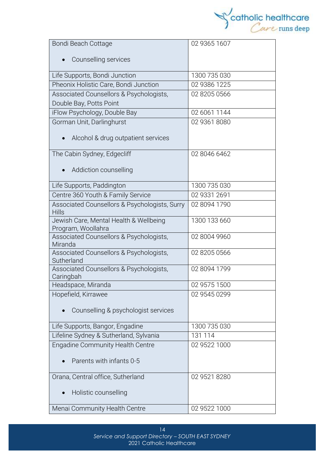

| Bondi Beach Cottage                                | 02 9365 1607 |
|----------------------------------------------------|--------------|
|                                                    |              |
| Counselling services                               |              |
| Life Supports, Bondi Junction                      | 1300 735 030 |
| Pheonix Holistic Care, Bondi Junction              | 02 9386 1225 |
| Associated Counsellors & Psychologists,            | 02 8205 0566 |
| Double Bay, Potts Point                            |              |
| iFlow Psychology, Double Bay                       | 02 6061 1144 |
| Gorman Unit, Darlinghurst                          | 02 9361 8080 |
|                                                    |              |
| Alcohol & drug outpatient services                 |              |
| The Cabin Sydney, Edgecliff                        | 02 8046 6462 |
|                                                    |              |
| Addiction counselling                              |              |
| Life Supports, Paddington                          | 1300 735 030 |
| Centre 360 Youth & Family Service                  | 02 9331 2691 |
| Associated Counsellors & Psychologists, Surry      | 02 8094 1790 |
| <b>Hills</b>                                       |              |
| Jewish Care, Mental Health & Wellbeing             | 1300 133 660 |
| Program, Woollahra                                 |              |
| Associated Counsellors & Psychologists,<br>Miranda | 02 8004 9960 |
| Associated Counsellors & Psychologists,            | 02 8205 0566 |
| Sutherland                                         |              |
| Associated Counsellors & Psychologists,            | 02 8094 1799 |
| Caringbah                                          |              |
| Headspace, Miranda                                 | 02 9575 1500 |
| Hopefield, Kirrawee                                | 02 9545 0299 |
| Counselling & psychologist services                |              |
|                                                    |              |
| Life Supports, Bangor, Engadine                    | 1300 735 030 |
| Lifeline Sydney & Sutherland, Sylvania             | 131 114      |
| <b>Engadine Community Health Centre</b>            | 02 9522 1000 |
|                                                    |              |
| Parents with infants 0-5                           |              |
| Orana, Central office, Sutherland                  | 02 9521 8280 |
| Holistic counselling                               |              |
|                                                    |              |
| Menai Community Health Centre                      | 02 9522 1000 |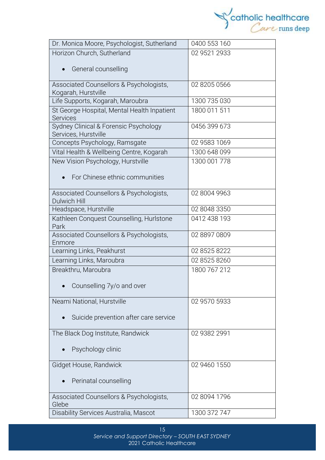

| Dr. Monica Moore, Psychologist, Sutherland        | 0400 553 160 |
|---------------------------------------------------|--------------|
| Horizon Church, Sutherland                        | 02 9521 2933 |
|                                                   |              |
| General counselling                               |              |
| Associated Counsellors & Psychologists,           | 02 8205 0566 |
| Kogarah, Hurstville                               |              |
| Life Supports, Kogarah, Maroubra                  | 1300 735 030 |
| St George Hospital, Mental Health Inpatient       | 1800 011 511 |
| <b>Services</b>                                   |              |
| Sydney Clinical & Forensic Psychology             | 0456 399 673 |
| Services, Hurstville                              |              |
| Concepts Psychology, Ramsgate                     | 02 9583 1069 |
| Vital Health & Wellbeing Centre, Kogarah          | 1300 648 099 |
| New Vision Psychology, Hurstville                 | 1300 001 778 |
| For Chinese ethnic communities                    |              |
|                                                   |              |
| Associated Counsellors & Psychologists,           | 02 8004 9963 |
| <b>Dulwich Hill</b>                               |              |
| Headspace, Hurstville                             | 02 8048 3350 |
| Kathleen Conquest Counselling, Hurlstone          | 0412 438 193 |
| Park                                              |              |
| Associated Counsellors & Psychologists,<br>Enmore | 02 8897 0809 |
| Learning Links, Peakhurst                         | 02 8525 8222 |
| Learning Links, Maroubra                          | 02 8525 8260 |
| Breakthru, Maroubra                               | 1800 767 212 |
|                                                   |              |
| Counselling 7y/o and over                         |              |
| Neami National, Hurstville                        | 02 9570 5933 |
|                                                   |              |
| Suicide prevention after care service             |              |
|                                                   |              |
| The Black Dog Institute, Randwick                 | 02 9382 2991 |
| Psychology clinic                                 |              |
|                                                   |              |
| Gidget House, Randwick                            | 02 9460 1550 |
|                                                   |              |
| Perinatal counselling                             |              |
|                                                   |              |
| Associated Counsellors & Psychologists,<br>Glebe  | 02 8094 1796 |
| Disability Services Australia, Mascot             | 1300 372 747 |
|                                                   |              |